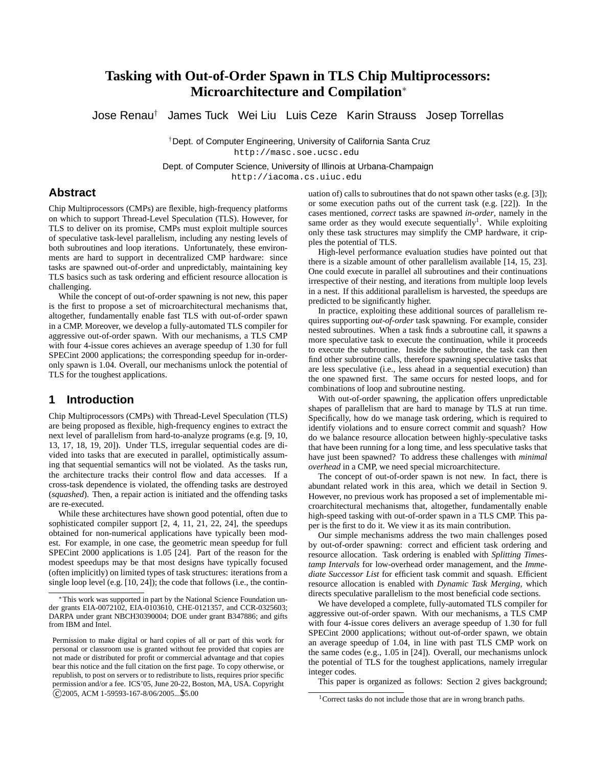# **Tasking with Out-of-Order Spawn in TLS Chip Multiprocessors: Microarchitecture and Compilation**<sup>∗</sup>

Jose Renau† James Tuck Wei Liu Luis Ceze Karin Strauss Josep Torrellas

†Dept. of Computer Engineering, University of California Santa Cruz http://masc.soe.ucsc.edu

Dept. of Computer Science, University of Illinois at Urbana-Champaign

http://iacoma.cs.uiuc.edu

## **Abstract**

Chip Multiprocessors (CMPs) are flexible, high-frequency platforms on which to support Thread-Level Speculation (TLS). However, for TLS to deliver on its promise, CMPs must exploit multiple sources of speculative task-level parallelism, including any nesting levels of both subroutines and loop iterations. Unfortunately, these environments are hard to support in decentralized CMP hardware: since tasks are spawned out-of-order and unpredictably, maintaining key TLS basics such as task ordering and efficient resource allocation is challenging.

While the concept of out-of-order spawning is not new, this paper is the first to propose a set of microarchitectural mechanisms that, altogether, fundamentally enable fast TLS with out-of-order spawn in a CMP. Moreover, we develop a fully-automated TLS compiler for aggressive out-of-order spawn. With our mechanisms, a TLS CMP with four 4-issue cores achieves an average speedup of 1.30 for full SPECint 2000 applications; the corresponding speedup for in-orderonly spawn is 1.04. Overall, our mechanisms unlock the potential of TLS for the toughest applications.

## **1 Introduction**

Chip Multiprocessors (CMPs) with Thread-Level Speculation (TLS) are being proposed as flexible, high-frequency engines to extract the next level of parallelism from hard-to-analyze programs (e.g. [9, 10, 13, 17, 18, 19, 20]). Under TLS, irregular sequential codes are divided into tasks that are executed in parallel, optimistically assuming that sequential semantics will not be violated. As the tasks run, the architecture tracks their control flow and data accesses. If a cross-task dependence is violated, the offending tasks are destroyed (*squashed*). Then, a repair action is initiated and the offending tasks are re-executed.

While these architectures have shown good potential, often due to sophisticated compiler support [2, 4, 11, 21, 22, 24], the speedups obtained for non-numerical applications have typically been modest. For example, in one case, the geometric mean speedup for full SPECint 2000 applications is 1.05 [24]. Part of the reason for the modest speedups may be that most designs have typically focused (often implicitly) on limited types of task structures: iterations from a single loop level (e.g. [10, 24]); the code that follows (i.e., the continuation of) calls to subroutines that do not spawn other tasks (e.g. [3]); or some execution paths out of the current task (e.g. [22]). In the cases mentioned, *correct* tasks are spawned *in-order*, namely in the same order as they would execute sequentially<sup>1</sup>. While exploiting only these task structures may simplify the CMP hardware, it cripples the potential of TLS.

High-level performance evaluation studies have pointed out that there is a sizable amount of other parallelism available [14, 15, 23]. One could execute in parallel all subroutines and their continuations irrespective of their nesting, and iterations from multiple loop levels in a nest. If this additional parallelism is harvested, the speedups are predicted to be significantly higher.

In practice, exploiting these additional sources of parallelism requires supporting *out-of-order* task spawning. For example, consider nested subroutines. When a task finds a subroutine call, it spawns a more speculative task to execute the continuation, while it proceeds to execute the subroutine. Inside the subroutine, the task can then find other subroutine calls, therefore spawning speculative tasks that are less speculative (i.e., less ahead in a sequential execution) than the one spawned first. The same occurs for nested loops, and for combinations of loop and subroutine nesting.

With out-of-order spawning, the application offers unpredictable shapes of parallelism that are hard to manage by TLS at run time. Specifically, how do we manage task ordering, which is required to identify violations and to ensure correct commit and squash? How do we balance resource allocation between highly-speculative tasks that have been running for a long time, and less speculative tasks that have just been spawned? To address these challenges with *minimal overhead* in a CMP, we need special microarchitecture.

The concept of out-of-order spawn is not new. In fact, there is abundant related work in this area, which we detail in Section 9. However, no previous work has proposed a set of implementable microarchitectural mechanisms that, altogether, fundamentally enable high-speed tasking with out-of-order spawn in a TLS CMP. This paper is the first to do it. We view it as its main contribution.

Our simple mechanisms address the two main challenges posed by out-of-order spawning: correct and efficient task ordering and resource allocation. Task ordering is enabled with *Splitting Timestamp Intervals* for low-overhead order management, and the *Immediate Successor List* for efficient task commit and squash. Efficient resource allocation is enabled with *Dynamic Task Merging*, which directs speculative parallelism to the most beneficial code sections.

We have developed a complete, fully-automated TLS compiler for aggressive out-of-order spawn. With our mechanisms, a TLS CMP with four 4-issue cores delivers an average speedup of 1.30 for full SPECint 2000 applications; without out-of-order spawn, we obtain an average speedup of 1.04, in line with past TLS CMP work on the same codes (e.g., 1.05 in [24]). Overall, our mechanisms unlock the potential of TLS for the toughest applications, namely irregular integer codes.

This paper is organized as follows: Section 2 gives background;

<sup>∗</sup>This work was supported in part by the National Science Foundation under grants EIA-0072102, EIA-0103610, CHE-0121357, and CCR-0325603; DARPA under grant NBCH30390004; DOE under grant B347886; and gifts from IBM and Intel.

Permission to make digital or hard copies of all or part of this work for personal or classroom use is granted without fee provided that copies are not made or distributed for profit or commercial advantage and that copies bear this notice and the full citation on the first page. To copy otherwise, or republish, to post on servers or to redistribute to lists, requires prior specific permission and/or a fee. ICS'05, June 20-22, Boston, MA, USA. Copyright c 2005, ACM 1-59593-167-8/06/2005...\$5.00

<sup>1</sup>Correct tasks do not include those that are in wrong branch paths.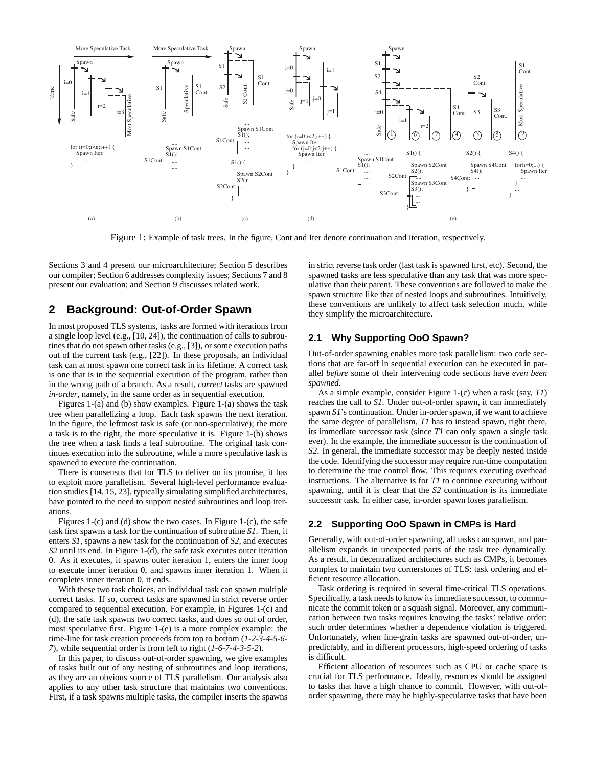

Figure 1: Example of task trees. In the figure, Cont and Iter denote continuation and iteration, respectively.

Sections 3 and 4 present our microarchitecture; Section 5 describes our compiler; Section 6 addresses complexity issues; Sections 7 and 8 present our evaluation; and Section 9 discusses related work.

## **2 Background: Out-of-Order Spawn**

In most proposed TLS systems, tasks are formed with iterations from a single loop level (e.g., [10, 24]), the continuation of calls to subroutines that do not spawn other tasks (e.g., [3]), or some execution paths out of the current task (e.g., [22]). In these proposals, an individual task can at most spawn one correct task in its lifetime. A correct task is one that is in the sequential execution of the program, rather than in the wrong path of a branch. As a result, *correct* tasks are spawned *in-order*, namely, in the same order as in sequential execution.

Figures 1-(a) and (b) show examples. Figure 1-(a) shows the task tree when parallelizing a loop. Each task spawns the next iteration. In the figure, the leftmost task is safe (or non-speculative); the more a task is to the right, the more speculative it is. Figure 1-(b) shows the tree when a task finds a leaf subroutine. The original task continues execution into the subroutine, while a more speculative task is spawned to execute the continuation.

There is consensus that for TLS to deliver on its promise, it has to exploit more parallelism. Several high-level performance evaluation studies [14, 15, 23], typically simulating simplified architectures, have pointed to the need to support nested subroutines and loop iterations.

Figures 1-(c) and (d) show the two cases. In Figure 1-(c), the safe task first spawns a task for the continuation of subroutine *S1*. Then, it enters *S1*, spawns a new task for the continuation of *S2*, and executes *S2* until its end. In Figure 1-(d), the safe task executes outer iteration 0. As it executes, it spawns outer iteration 1, enters the inner loop to execute inner iteration 0, and spawns inner iteration 1. When it completes inner iteration 0, it ends.

With these two task choices, an individual task can spawn multiple correct tasks. If so, correct tasks are spawned in strict reverse order compared to sequential execution. For example, in Figures 1-(c) and (d), the safe task spawns two correct tasks, and does so out of order, most speculative first. Figure 1-(e) is a more complex example: the time-line for task creation proceeds from top to bottom (*1*-*2*-*3*-*4*-*5*-*6*- *7*), while sequential order is from left to right (*1*-*6*-*7*-*4*-*3*-*5*-*2*).

In this paper, to discuss out-of-order spawning, we give examples of tasks built out of any nesting of subroutines and loop iterations, as they are an obvious source of TLS parallelism. Our analysis also applies to any other task structure that maintains two conventions. First, if a task spawns multiple tasks, the compiler inserts the spawns in strict reverse task order (last task is spawned first, etc). Second, the spawned tasks are less speculative than any task that was more speculative than their parent. These conventions are followed to make the spawn structure like that of nested loops and subroutines. Intuitively, these conventions are unlikely to affect task selection much, while they simplify the microarchitecture.

## **2.1 Why Supporting OoO Spawn?**

Out-of-order spawning enables more task parallelism: two code sections that are far-off in sequential execution can be executed in parallel *before* some of their intervening code sections have *even been spawned*.

As a simple example, consider Figure 1-(c) when a task (say, *T1*) reaches the call to *S1*. Under out-of-order spawn, it can immediately spawn *S1*'s continuation. Under in-order spawn, if we want to achieve the same degree of parallelism, *T1* has to instead spawn, right there, its immediate successor task (since *T1* can only spawn a single task ever). In the example, the immediate successor is the continuation of *S2*. In general, the immediate successor may be deeply nested inside the code. Identifying the successor may require run-time computation to determine the true control flow. This requires executing overhead instructions. The alternative is for *T1* to continue executing without spawning, until it is clear that the *S2* continuation is its immediate successor task. In either case, in-order spawn loses parallelism.

## **2.2 Supporting OoO Spawn in CMPs is Hard**

Generally, with out-of-order spawning, all tasks can spawn, and parallelism expands in unexpected parts of the task tree dynamically. As a result, in decentralized architectures such as CMPs, it becomes complex to maintain two cornerstones of TLS: task ordering and efficient resource allocation.

Task ordering is required in several time-critical TLS operations. Specifically, a task needs to know its immediate successor, to communicate the commit token or a squash signal. Moreover, any communication between two tasks requires knowing the tasks' relative order: such order determines whether a dependence violation is triggered. Unfortunately, when fine-grain tasks are spawned out-of-order, unpredictably, and in different processors, high-speed ordering of tasks is difficult.

Efficient allocation of resources such as CPU or cache space is crucial for TLS performance. Ideally, resources should be assigned to tasks that have a high chance to commit. However, with out-oforder spawning, there may be highly-speculative tasks that have been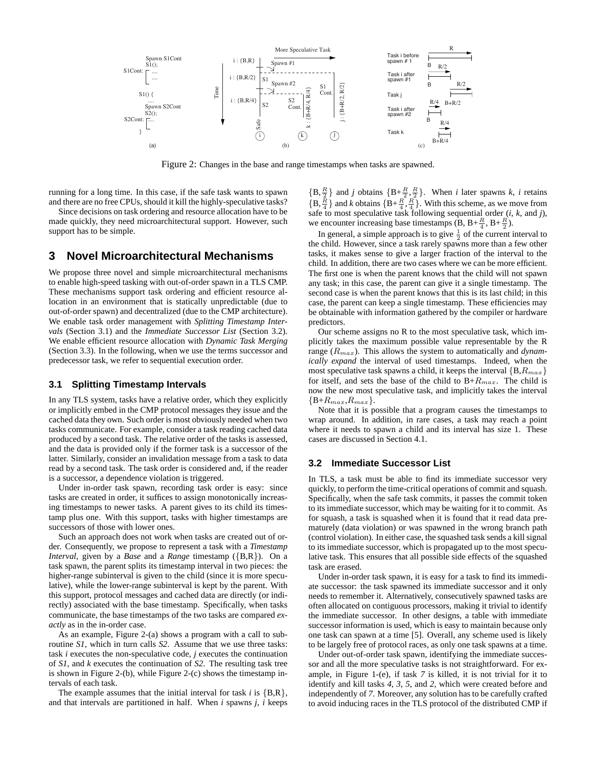

Figure 2: Changes in the base and range timestamps when tasks are spawned.

running for a long time. In this case, if the safe task wants to spawn and there are no free CPUs, should it kill the highly-speculative tasks?

Since decisions on task ordering and resource allocation have to be made quickly, they need microarchitectural support. However, such support has to be simple.

## **3 Novel Microarchitectural Mechanisms**

We propose three novel and simple microarchitectural mechanisms to enable high-speed tasking with out-of-order spawn in a TLS CMP. These mechanisms support task ordering and efficient resource allocation in an environment that is statically unpredictable (due to out-of-order spawn) and decentralized (due to the CMP architecture). We enable task order management with *Splitting Timestamp Intervals* (Section 3.1) and the *Immediate Successor List* (Section 3.2). We enable efficient resource allocation with *Dynamic Task Merging* (Section 3.3). In the following, when we use the terms successor and predecessor task, we refer to sequential execution order.

#### **3.1 Splitting Timestamp Intervals**

In any TLS system, tasks have a relative order, which they explicitly or implicitly embed in the CMP protocol messages they issue and the cached data they own. Such order is most obviously needed when two tasks communicate. For example, consider a task reading cached data produced by a second task. The relative order of the tasks is assessed, and the data is provided only if the former task is a successor of the latter. Similarly, consider an invalidation message from a task to data read by a second task. The task order is considered and, if the reader is a successor, a dependence violation is triggered.

Under in-order task spawn, recording task order is easy: since tasks are created in order, it suffices to assign monotonically increasing timestamps to newer tasks. A parent gives to its child its timestamp plus one. With this support, tasks with higher timestamps are successors of those with lower ones.

Such an approach does not work when tasks are created out of order. Consequently, we propose to represent a task with a *Timestamp Interval*, given by a *Base* and a *Range* timestamp ({B,R}). On a task spawn, the parent splits its timestamp interval in two pieces: the higher-range subinterval is given to the child (since it is more speculative), while the lower-range subinterval is kept by the parent. With this support, protocol messages and cached data are directly (or indirectly) associated with the base timestamp. Specifically, when tasks communicate, the base timestamps of the two tasks are compared *exactly* as in the in-order case.

As an example, Figure 2-(a) shows a program with a call to subroutine *S1*, which in turn calls *S2*. Assume that we use three tasks: task *i* executes the non-speculative code, *j* executes the continuation of *S1*, and *k* executes the continuation of *S2*. The resulting task tree is shown in Figure 2-(b), while Figure 2-(c) shows the timestamp intervals of each task.

The example assumes that the initial interval for task  $i$  is  $\{B, R\}$ , and that intervals are partitioned in half. When *i* spawns *j*, *i* keeps

 ${B, \frac{R}{2}}$  and *j* obtains  ${B+ \frac{R}{2}, \frac{R}{2}}$ . When *i* later spawns *k*, *i* retains  ${B, \frac{R}{4} }$  and *k* obtains  ${B+ \frac{R}{4}, \frac{R}{4} }$ . With this scheme, as we move from safe to most speculative task following sequential order (*i*, *k*, and *j*), we encounter increasing base timestamps (B,  $B + \frac{R}{4}$ ,  $B + \frac{R}{2}$ ).

In general, a simple approach is to give  $\frac{1}{2}$  of the current interval to the child. However, since a task rarely spawns more than a few other tasks, it makes sense to give a larger fraction of the interval to the child. In addition, there are two cases where we can be more efficient. The first one is when the parent knows that the child will not spawn any task; in this case, the parent can give it a single timestamp. The second case is when the parent knows that this is its last child; in this case, the parent can keep a single timestamp. These efficiencies may be obtainable with information gathered by the compiler or hardware predictors.

Our scheme assigns no R to the most speculative task, which implicitly takes the maximum possible value representable by the R range  $(R_{max})$ . This allows the system to automatically and *dynamically expand* the interval of used timestamps. Indeed, when the most speculative task spawns a child, it keeps the interval  ${B, R_{max}}$ for itself, and sets the base of the child to  $B + R_{max}$ . The child is now the new most speculative task, and implicitly takes the interval  ${B+R_{max},R_{max}}$ .

Note that it is possible that a program causes the timestamps to wrap around. In addition, in rare cases, a task may reach a point where it needs to spawn a child and its interval has size 1. These cases are discussed in Section 4.1.

#### **3.2 Immediate Successor List**

In TLS, a task must be able to find its immediate successor very quickly, to perform the time-critical operations of commit and squash. Specifically, when the safe task commits, it passes the commit token to its immediate successor, which may be waiting for it to commit. As for squash, a task is squashed when it is found that it read data prematurely (data violation) or was spawned in the wrong branch path (control violation). In either case, the squashed task sends a kill signal to its immediate successor, which is propagated up to the most speculative task. This ensures that all possible side effects of the squashed task are erased.

Under in-order task spawn, it is easy for a task to find its immediate successor: the task spawned its immediate successor and it only needs to remember it. Alternatively, consecutively spawned tasks are often allocated on contiguous processors, making it trivial to identify the immediate successor. In other designs, a table with immediate successor information is used, which is easy to maintain because only one task can spawn at a time [5]. Overall, any scheme used is likely to be largely free of protocol races, as only one task spawns at a time.

Under out-of-order task spawn, identifying the immediate successor and all the more speculative tasks is not straightforward. For example, in Figure 1-(e), if task *7* is killed, it is not trivial for it to identify and kill tasks *4*, *3*, *5*, and *2*, which were created before and independently of *7*. Moreover, any solution has to be carefully crafted to avoid inducing races in the TLS protocol of the distributed CMP if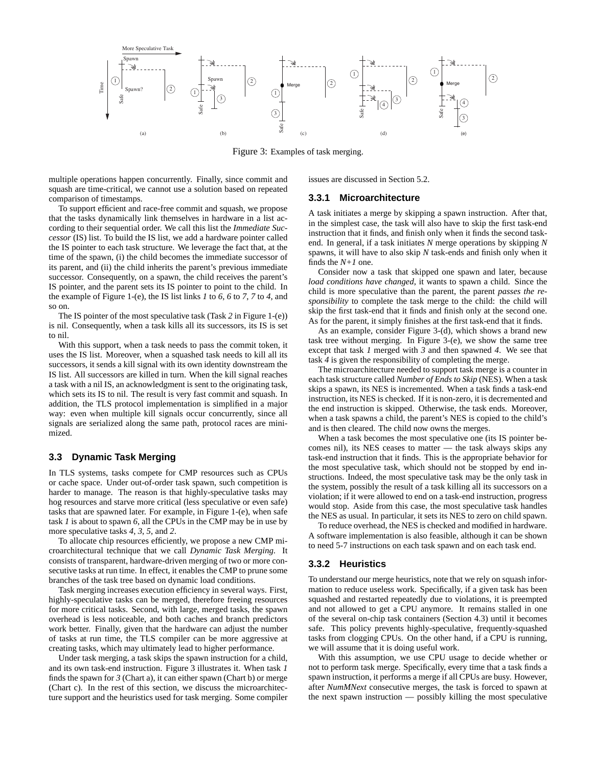

Figure 3: Examples of task merging.

multiple operations happen concurrently. Finally, since commit and squash are time-critical, we cannot use a solution based on repeated comparison of timestamps.

To support efficient and race-free commit and squash, we propose that the tasks dynamically link themselves in hardware in a list according to their sequential order. We call this list the *Immediate Successor* (IS) list. To build the IS list, we add a hardware pointer called the IS pointer to each task structure. We leverage the fact that, at the time of the spawn, (i) the child becomes the immediate successor of its parent, and (ii) the child inherits the parent's previous immediate successor. Consequently, on a spawn, the child receives the parent's IS pointer, and the parent sets its IS pointer to point to the child. In the example of Figure 1-(e), the IS list links *1* to *6*, *6* to *7*, *7* to *4*, and so on.

The IS pointer of the most speculative task (Task *2* in Figure 1-(e)) is nil. Consequently, when a task kills all its successors, its IS is set to nil.

With this support, when a task needs to pass the commit token, it uses the IS list. Moreover, when a squashed task needs to kill all its successors, it sends a kill signal with its own identity downstream the IS list. All successors are killed in turn. When the kill signal reaches a task with a nil IS, an acknowledgment is sent to the originating task, which sets its IS to nil. The result is very fast commit and squash. In addition, the TLS protocol implementation is simplified in a major way: even when multiple kill signals occur concurrently, since all signals are serialized along the same path, protocol races are minimized.

## **3.3 Dynamic Task Merging**

In TLS systems, tasks compete for CMP resources such as CPUs or cache space. Under out-of-order task spawn, such competition is harder to manage. The reason is that highly-speculative tasks may hog resources and starve more critical (less speculative or even safe) tasks that are spawned later. For example, in Figure 1-(e), when safe task *1* is about to spawn *6*, all the CPUs in the CMP may be in use by more speculative tasks *4*, *3*, *5*, and *2*.

To allocate chip resources efficiently, we propose a new CMP microarchitectural technique that we call *Dynamic Task Merging*. It consists of transparent, hardware-driven merging of two or more consecutive tasks at run time. In effect, it enables the CMP to prune some branches of the task tree based on dynamic load conditions.

Task merging increases execution efficiency in several ways. First, highly-speculative tasks can be merged, therefore freeing resources for more critical tasks. Second, with large, merged tasks, the spawn overhead is less noticeable, and both caches and branch predictors work better. Finally, given that the hardware can adjust the number of tasks at run time, the TLS compiler can be more aggressive at creating tasks, which may ultimately lead to higher performance.

Under task merging, a task skips the spawn instruction for a child, and its own task-end instruction. Figure 3 illustrates it. When task *1* finds the spawn for *3* (Chart a), it can either spawn (Chart b) or merge (Chart c). In the rest of this section, we discuss the microarchitecture support and the heuristics used for task merging. Some compiler issues are discussed in Section 5.2.

#### **3.3.1 Microarchitecture**

A task initiates a merge by skipping a spawn instruction. After that, in the simplest case, the task will also have to skip the first task-end instruction that it finds, and finish only when it finds the second taskend. In general, if a task initiates *N* merge operations by skipping *N* spawns, it will have to also skip *N* task-ends and finish only when it finds the *N+1* one.

Consider now a task that skipped one spawn and later, because *load conditions have changed*, it wants to spawn a child. Since the child is more speculative than the parent, the parent *passes the responsibility* to complete the task merge to the child: the child will skip the first task-end that it finds and finish only at the second one. As for the parent, it simply finishes at the first task-end that it finds.

As an example, consider Figure 3-(d), which shows a brand new task tree without merging. In Figure 3-(e), we show the same tree except that task *1* merged with *3* and then spawned *4*. We see that task *4* is given the responsibility of completing the merge.

The microarchitecture needed to support task merge is a counter in each task structure called *Number of Ends to Skip* (NES). When a task skips a spawn, its NES is incremented. When a task finds a task-end instruction, its NES is checked. If it is non-zero, it is decremented and the end instruction is skipped. Otherwise, the task ends. Moreover, when a task spawns a child, the parent's NES is copied to the child's and is then cleared. The child now owns the merges.

When a task becomes the most speculative one (its IS pointer becomes nil), its NES ceases to matter — the task always skips any task-end instruction that it finds. This is the appropriate behavior for the most speculative task, which should not be stopped by end instructions. Indeed, the most speculative task may be the only task in the system, possibly the result of a task killing all its successors on a violation; if it were allowed to end on a task-end instruction, progress would stop. Aside from this case, the most speculative task handles the NES as usual. In particular, it sets its NES to zero on child spawn.

To reduce overhead, the NES is checked and modified in hardware. A software implementation is also feasible, although it can be shown to need 5-7 instructions on each task spawn and on each task end.

## **3.3.2 Heuristics**

To understand our merge heuristics, note that we rely on squash information to reduce useless work. Specifically, if a given task has been squashed and restarted repeatedly due to violations, it is preempted and not allowed to get a CPU anymore. It remains stalled in one of the several on-chip task containers (Section 4.3) until it becomes safe. This policy prevents highly-speculative, frequently-squashed tasks from clogging CPUs. On the other hand, if a CPU is running, we will assume that it is doing useful work.

With this assumption, we use CPU usage to decide whether or not to perform task merge. Specifically, every time that a task finds a spawn instruction, it performs a merge if all CPUs are busy. However, after *NumMNext* consecutive merges, the task is forced to spawn at the next spawn instruction — possibly killing the most speculative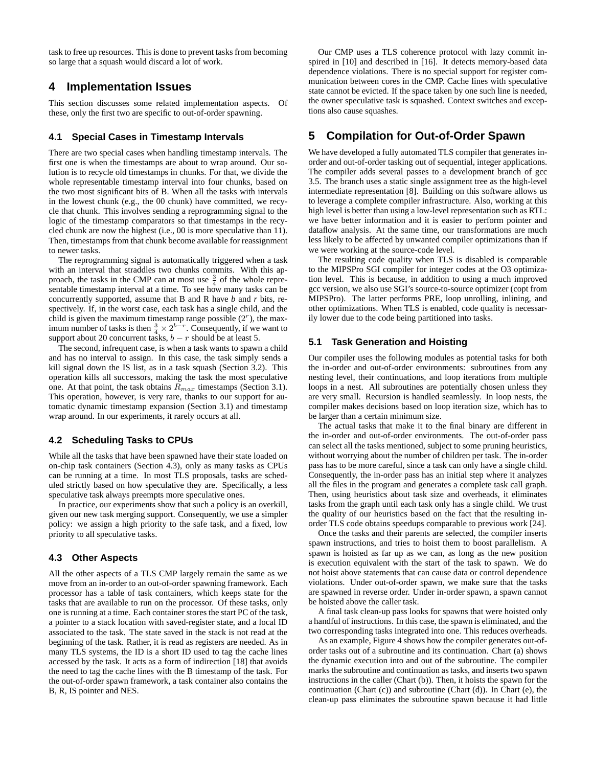task to free up resources. This is done to prevent tasks from becoming so large that a squash would discard a lot of work.

## **4 Implementation Issues**

This section discusses some related implementation aspects. Of these, only the first two are specific to out-of-order spawning.

## **4.1 Special Cases in Timestamp Intervals**

There are two special cases when handling timestamp intervals. The first one is when the timestamps are about to wrap around. Our solution is to recycle old timestamps in chunks. For that, we divide the whole representable timestamp interval into four chunks, based on the two most significant bits of B. When all the tasks with intervals in the lowest chunk (e.g., the 00 chunk) have committed, we recycle that chunk. This involves sending a reprogramming signal to the logic of the timestamp comparators so that timestamps in the recycled chunk are now the highest (i.e., 00 is more speculative than 11). Then, timestamps from that chunk become available for reassignment to newer tasks.

The reprogramming signal is automatically triggered when a task with an interval that straddles two chunks commits. With this approach, the tasks in the CMP can at most use  $\frac{3}{4}$  of the whole representable timestamp interval at a time. To see how many tasks can be concurrently supported, assume that B and R have *b* and *r* bits, respectively. If, in the worst case, each task has a single child, and the child is given the maximum timestamp range possible  $(2<sup>r</sup>)$ , the maximum number of tasks is then  $\frac{3}{4} \times 2^{b-r}$ . Consequently, if we want to support about 20 concurrent tasks,  $b - r$  should be at least 5.

The second, infrequent case, is when a task wants to spawn a child and has no interval to assign. In this case, the task simply sends a kill signal down the IS list, as in a task squash (Section 3.2). This operation kills all successors, making the task the most speculative one. At that point, the task obtains  $R_{max}$  timestamps (Section 3.1). This operation, however, is very rare, thanks to our support for automatic dynamic timestamp expansion (Section 3.1) and timestamp wrap around. In our experiments, it rarely occurs at all.

## **4.2 Scheduling Tasks to CPUs**

While all the tasks that have been spawned have their state loaded on on-chip task containers (Section 4.3), only as many tasks as CPUs can be running at a time. In most TLS proposals, tasks are scheduled strictly based on how speculative they are. Specifically, a less speculative task always preempts more speculative ones.

In practice, our experiments show that such a policy is an overkill, given our new task merging support. Consequently, we use a simpler policy: we assign a high priority to the safe task, and a fixed, low priority to all speculative tasks.

## **4.3 Other Aspects**

All the other aspects of a TLS CMP largely remain the same as we move from an in-order to an out-of-order spawning framework. Each processor has a table of task containers, which keeps state for the tasks that are available to run on the processor. Of these tasks, only one is running at a time. Each container stores the start PC of the task, a pointer to a stack location with saved-register state, and a local ID associated to the task. The state saved in the stack is not read at the beginning of the task. Rather, it is read as registers are needed. As in many TLS systems, the ID is a short ID used to tag the cache lines accessed by the task. It acts as a form of indirection [18] that avoids the need to tag the cache lines with the B timestamp of the task. For the out-of-order spawn framework, a task container also contains the B, R, IS pointer and NES.

Our CMP uses a TLS coherence protocol with lazy commit inspired in [10] and described in [16]. It detects memory-based data dependence violations. There is no special support for register communication between cores in the CMP. Cache lines with speculative state cannot be evicted. If the space taken by one such line is needed, the owner speculative task is squashed. Context switches and exceptions also cause squashes.

## **5 Compilation for Out-of-Order Spawn**

We have developed a fully automated TLS compiler that generates inorder and out-of-order tasking out of sequential, integer applications. The compiler adds several passes to a development branch of gcc 3.5. The branch uses a static single assignment tree as the high-level intermediate representation [8]. Building on this software allows us to leverage a complete compiler infrastructure. Also, working at this high level is better than using a low-level representation such as RTL: we have better information and it is easier to perform pointer and dataflow analysis. At the same time, our transformations are much less likely to be affected by unwanted compiler optimizations than if we were working at the source-code level.

The resulting code quality when TLS is disabled is comparable to the MIPSPro SGI compiler for integer codes at the O3 optimization level. This is because, in addition to using a much improved gcc version, we also use SGI's source-to-source optimizer (copt from MIPSPro). The latter performs PRE, loop unrolling, inlining, and other optimizations. When TLS is enabled, code quality is necessarily lower due to the code being partitioned into tasks.

## **5.1 Task Generation and Hoisting**

Our compiler uses the following modules as potential tasks for both the in-order and out-of-order environments: subroutines from any nesting level, their continuations, and loop iterations from multiple loops in a nest. All subroutines are potentially chosen unless they are very small. Recursion is handled seamlessly. In loop nests, the compiler makes decisions based on loop iteration size, which has to be larger than a certain minimum size.

The actual tasks that make it to the final binary are different in the in-order and out-of-order environments. The out-of-order pass can select all the tasks mentioned, subject to some pruning heuristics, without worrying about the number of children per task. The in-order pass has to be more careful, since a task can only have a single child. Consequently, the in-order pass has an initial step where it analyzes all the files in the program and generates a complete task call graph. Then, using heuristics about task size and overheads, it eliminates tasks from the graph until each task only has a single child. We trust the quality of our heuristics based on the fact that the resulting inorder TLS code obtains speedups comparable to previous work [24].

Once the tasks and their parents are selected, the compiler inserts spawn instructions, and tries to hoist them to boost parallelism. A spawn is hoisted as far up as we can, as long as the new position is execution equivalent with the start of the task to spawn. We do not hoist above statements that can cause data or control dependence violations. Under out-of-order spawn, we make sure that the tasks are spawned in reverse order. Under in-order spawn, a spawn cannot be hoisted above the caller task.

A final task clean-up pass looks for spawns that were hoisted only a handful of instructions. In this case, the spawn is eliminated, and the two corresponding tasks integrated into one. This reduces overheads.

As an example, Figure 4 shows how the compiler generates out-oforder tasks out of a subroutine and its continuation. Chart (a) shows the dynamic execution into and out of the subroutine. The compiler marks the subroutine and continuation as tasks, and inserts two spawn instructions in the caller (Chart (b)). Then, it hoists the spawn for the continuation (Chart (c)) and subroutine (Chart (d)). In Chart (e), the clean-up pass eliminates the subroutine spawn because it had little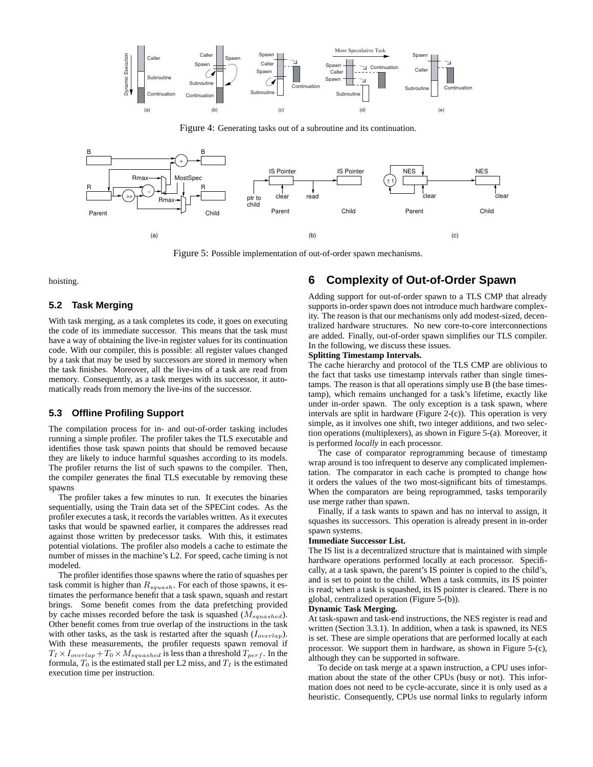

Figure 4: Generating tasks out of a subroutine and its continuation.



Figure 5: Possible implementation of out-of-order spawn mechanisms.

hoisting.

#### **5.2 Task Merging**

With task merging, as a task completes its code, it goes on executing the code of its immediate successor. This means that the task must have a way of obtaining the live-in register values for its continuation code. With our compiler, this is possible: all register values changed by a task that may be used by successors are stored in memory when the task finishes. Moreover, all the live-ins of a task are read from memory. Consequently, as a task merges with its successor, it automatically reads from memory the live-ins of the successor.

#### **5.3 Offline Profiling Support**

The compilation process for in- and out-of-order tasking includes running a simple profiler. The profiler takes the TLS executable and identifies those task spawn points that should be removed because they are likely to induce harmful squashes according to its models. The profiler returns the list of such spawns to the compiler. Then, the compiler generates the final TLS executable by removing these spawns

The profiler takes a few minutes to run. It executes the binaries sequentially, using the Train data set of the SPECint codes. As the profiler executes a task, it records the variables written. As it executes tasks that would be spawned earlier, it compares the addresses read against those written by predecessor tasks. With this, it estimates potential violations. The profiler also models a cache to estimate the number of misses in the machine's L2. For speed, cache timing is not modeled.

The profiler identifies those spawns where the ratio of squashes per task commit is higher than  $R_{squash}$ . For each of those spawns, it estimates the performance benefit that a task spawn, squash and restart brings. Some benefit comes from the data prefetching provided by cache misses recorded before the task is squashed  $(M_{squashed})$ . Other benefit comes from true overlap of the instructions in the task with other tasks, as the task is restarted after the squash  $(I_{overlap})$ . With these measurements, the profiler requests spawn removal if  $T_I \times I_{overlap} + T_0 \times M_{squashed}$  is less than a threshold  $T_{perf}$ . In the formula,  $T_0$  is the estimated stall per L2 miss, and  $T_I$  is the estimated execution time per instruction.

## **6 Complexity of Out-of-Order Spawn**

Adding support for out-of-order spawn to a TLS CMP that already supports in-order spawn does not introduce much hardware complexity. The reason is that our mechanisms only add modest-sized, decentralized hardware structures. No new core-to-core interconnections are added. Finally, out-of-order spawn simplifies our TLS compiler. In the following, we discuss these issues.

#### **Splitting Timestamp Intervals.**

The cache hierarchy and protocol of the TLS CMP are oblivious to the fact that tasks use timestamp intervals rather than single timestamps. The reason is that all operations simply use B (the base timestamp), which remains unchanged for a task's lifetime, exactly like under in-order spawn. The only exception is a task spawn, where intervals are split in hardware (Figure 2-(c)). This operation is very simple, as it involves one shift, two integer additions, and two selection operations (multiplexers), as shown in Figure 5-(a). Moreover, it is performed *locally* in each processor.

The case of comparator reprogramming because of timestamp wrap around is too infrequent to deserve any complicated implementation. The comparator in each cache is prompted to change how it orders the values of the two most-significant bits of timestamps. When the comparators are being reprogrammed, tasks temporarily use merge rather than spawn.

Finally, if a task wants to spawn and has no interval to assign, it squashes its successors. This operation is already present in in-order spawn systems.

#### **Immediate Successor List.**

The IS list is a decentralized structure that is maintained with simple hardware operations performed locally at each processor. Specifically, at a task spawn, the parent's IS pointer is copied to the child's, and is set to point to the child. When a task commits, its IS pointer is read; when a task is squashed, its IS pointer is cleared. There is no global, centralized operation (Figure 5-(b)).

#### **Dynamic Task Merging.**

At task-spawn and task-end instructions, the NES register is read and written (Section 3.3.1). In addition, when a task is spawned, its NES is set. These are simple operations that are performed locally at each processor. We support them in hardware, as shown in Figure 5-(c), although they can be supported in software.

To decide on task merge at a spawn instruction, a CPU uses information about the state of the other CPUs (busy or not). This information does not need to be cycle-accurate, since it is only used as a heuristic. Consequently, CPUs use normal links to regularly inform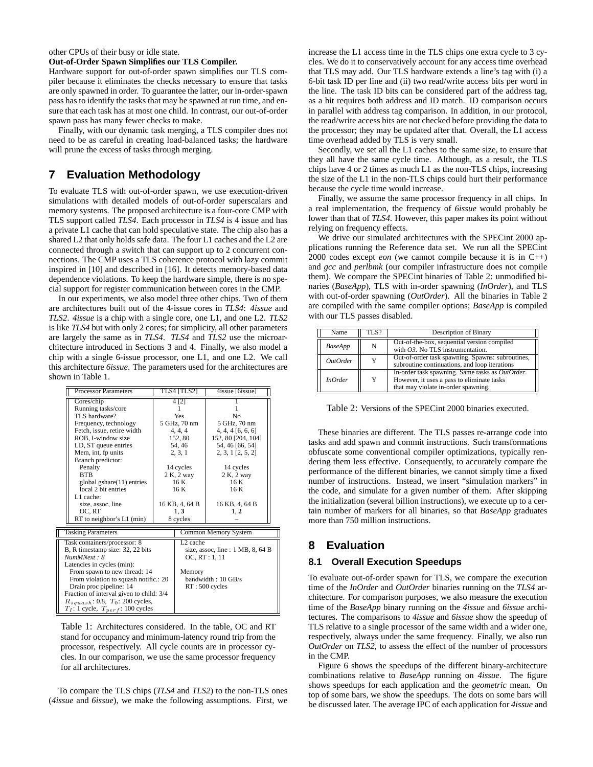#### other CPUs of their busy or idle state.

## **Out-of-Order Spawn Simplifies our TLS Compiler.**

Hardware support for out-of-order spawn simplifies our TLS compiler because it eliminates the checks necessary to ensure that tasks are only spawned in order. To guarantee the latter, our in-order-spawn pass has to identify the tasks that may be spawned at run time, and ensure that each task has at most one child. In contrast, our out-of-order spawn pass has many fewer checks to make.

Finally, with our dynamic task merging, a TLS compiler does not need to be as careful in creating load-balanced tasks; the hardware will prune the excess of tasks through merging.

## **7 Evaluation Methodology**

To evaluate TLS with out-of-order spawn, we use execution-driven simulations with detailed models of out-of-order superscalars and memory systems. The proposed architecture is a four-core CMP with TLS support called *TLS4*. Each processor in *TLS4* is 4 issue and has a private L1 cache that can hold speculative state. The chip also has a shared L2 that only holds safe data. The four L1 caches and the L2 are connected through a switch that can support up to 2 concurrent connections. The CMP uses a TLS coherence protocol with lazy commit inspired in [10] and described in [16]. It detects memory-based data dependence violations. To keep the hardware simple, there is no special support for register communication between cores in the CMP.

In our experiments, we also model three other chips. Two of them are architectures built out of the 4-issue cores in *TLS4*: *4issue* and *TLS2*. *4issue* is a chip with a single core, one L1, and one L2. *TLS2* is like *TLS4* but with only 2 cores; for simplicity, all other parameters are largely the same as in *TLS4*. *TLS4* and *TLS2* use the microarchitecture introduced in Sections 3 and 4. Finally, we also model a chip with a single 6-issue processor, one L1, and one L2. We call this architecture *6issue*. The parameters used for the architectures are shown in Table 1.

| <b>Processor Parameters</b>              |                                                                         | TLS4 [TLS2]          | 4issue [6issue]      |  |  |
|------------------------------------------|-------------------------------------------------------------------------|----------------------|----------------------|--|--|
| Cores/chip                               | 4 [2]                                                                   |                      |                      |  |  |
| Running tasks/core                       |                                                                         |                      |                      |  |  |
| TLS hardware?                            |                                                                         | Yes                  | No                   |  |  |
| Frequency, technology                    |                                                                         | 5 GHz, 70 nm         | 5 GHz, 70 nm         |  |  |
| Fetch, issue, retire width               |                                                                         | 4, 4, 4              | $4, 4, 4$ [6, 6, 6]  |  |  |
| ROB, I-window size                       |                                                                         | 152, 80              | 152, 80 [204, 104]   |  |  |
| LD, ST queue entries                     |                                                                         | 54, 46               | 54, 46 [66, 54]      |  |  |
| Mem, int, fp units                       |                                                                         | 2, 3, 1              | $2, 3, 1$ [2, 5, 2]  |  |  |
| Branch predictor:                        |                                                                         |                      |                      |  |  |
| Penalty                                  |                                                                         | 14 cycles            | 14 cycles            |  |  |
| <b>BTB</b>                               |                                                                         | 2 K, 2 way           | 2 K, 2 way           |  |  |
| global gshare(11) entries                |                                                                         | 16 K                 | 16 K                 |  |  |
| local 2 bit entries                      |                                                                         | 16 K                 | 16 K                 |  |  |
| L1 cache:                                |                                                                         |                      |                      |  |  |
| size, assoc, line                        |                                                                         | 16 KB, 4, 64 B       | 16 KB, 4, 64 B       |  |  |
| OC. RT                                   |                                                                         | 1, 3                 | 1, 2                 |  |  |
| RT to neighbor's L1 (min)                | 8 cycles                                                                |                      |                      |  |  |
| <b>Tasking Parameters</b>                |                                                                         |                      | Common Memory System |  |  |
| Task containers/processor: 8             |                                                                         | L <sub>2</sub> cache |                      |  |  |
| B, R timestamp size: 32, 22 bits         |                                                                         |                      |                      |  |  |
| NumMNext: 8                              | size, assoc, line : $1 \text{ MB}$ , $8, 64 \text{ B}$<br>OC, RT: 1, 11 |                      |                      |  |  |
| Latencies in cycles (min):               |                                                                         |                      |                      |  |  |
| From spawn to new thread: 14             | Memory                                                                  |                      |                      |  |  |
| From violation to squash notific.: 20    | bandwidth: 10 GB/s                                                      |                      |                      |  |  |
| Drain proc pipeline: 14                  |                                                                         | $RT: 500$ cycles     |                      |  |  |
| Fraction of interval given to child: 3/4 |                                                                         |                      |                      |  |  |
| $R_{squash}: 0.8, T_0: 200$ cycles,      |                                                                         |                      |                      |  |  |
| $T_I$ : 1 cycle, $T_{perf}$ : 100 cycles |                                                                         |                      |                      |  |  |

Table 1: Architectures considered. In the table, OC and RT stand for occupancy and minimum-latency round trip from the processor, respectively. All cycle counts are in processor cycles. In our comparison, we use the same processor frequency for all architectures.

To compare the TLS chips (*TLS4* and *TLS2*) to the non-TLS ones (*4issue* and *6issue*), we make the following assumptions. First, we increase the L1 access time in the TLS chips one extra cycle to 3 cycles. We do it to conservatively account for any access time overhead that TLS may add. Our TLS hardware extends a line's tag with (i) a 6-bit task ID per line and (ii) two read/write access bits per word in the line. The task ID bits can be considered part of the address tag, as a hit requires both address and ID match. ID comparison occurs in parallel with address tag comparison. In addition, in our protocol, the read/write access bits are not checked before providing the data to the processor; they may be updated after that. Overall, the L1 access time overhead added by TLS is very small.

Secondly, we set all the L1 caches to the same size, to ensure that they all have the same cycle time. Although, as a result, the TLS chips have 4 or 2 times as much L1 as the non-TLS chips, increasing the size of the L1 in the non-TLS chips could hurt their performance because the cycle time would increase.

Finally, we assume the same processor frequency in all chips. In a real implementation, the frequency of *6issue* would probably be lower than that of *TLS4*. However, this paper makes its point without relying on frequency effects.

We drive our simulated architectures with the SPECint 2000 applications running the Reference data set. We run all the SPECint 2000 codes except *eon* (we cannot compile because it is in C++) and *gcc* and *perlbmk* (our compiler infrastructure does not compile them). We compare the SPECint binaries of Table 2: unmodified binaries (*BaseApp*), TLS with in-order spawning (*InOrder*), and TLS with out-of-order spawning (*OutOrder*). All the binaries in Table 2 are compiled with the same compiler options; *BaseApp* is compiled with our TLS passes disabled.

| Name            | TLS? | Description of Binary                                                                                                                |  |  |  |
|-----------------|------|--------------------------------------------------------------------------------------------------------------------------------------|--|--|--|
| BaseApp         | N    | Out-of-the-box, sequential version compiled<br>with $O3$ . No TLS instrumentation.                                                   |  |  |  |
| <i>OutOrder</i> |      | Out-of-order task spawning. Spawns: subroutines,<br>subroutine continuations, and loop iterations                                    |  |  |  |
| <i>InOrder</i>  | Y    | In-order task spawning. Same tasks as OutOrder.<br>However, it uses a pass to eliminate tasks<br>that may violate in-order spawning. |  |  |  |

Table 2: Versions of the SPECint 2000 binaries executed.

These binaries are different. The TLS passes re-arrange code into tasks and add spawn and commit instructions. Such transformations obfuscate some conventional compiler optimizations, typically rendering them less effective. Consequently, to accurately compare the performance of the different binaries, we cannot simply time a fixed number of instructions. Instead, we insert "simulation markers" in the code, and simulate for a given number of them. After skipping the initialization (several billion instructions), we execute up to a certain number of markers for all binaries, so that *BaseApp* graduates more than 750 million instructions.

## **8 Evaluation**

## **8.1 Overall Execution Speedups**

To evaluate out-of-order spawn for TLS, we compare the execution time of the *InOrder* and *OutOrder* binaries running on the *TLS4* architecture. For comparison purposes, we also measure the execution time of the *BaseApp* binary running on the *4issue* and *6issue* architectures. The comparisons to *4issue* and *6issue* show the speedup of TLS relative to a single processor of the same width and a wider one, respectively, always under the same frequency. Finally, we also run *OutOrder* on *TLS2*, to assess the effect of the number of processors in the CMP.

Figure 6 shows the speedups of the different binary-architecture combinations relative to *BaseApp* running on *4issue*. The figure shows speedups for each application and the *geometric* mean. On top of some bars, we show the speedups. The dots on some bars will be discussed later. The average IPC of each application for *4issue* and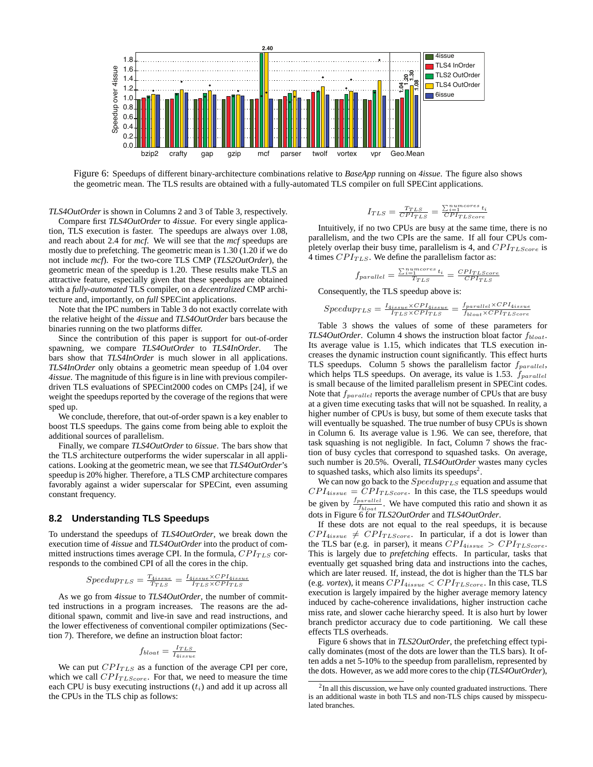

Figure 6: Speedups of different binary-architecture combinations relative to *BaseApp* running on *4issue*. The figure also shows the geometric mean. The TLS results are obtained with a fully-automated TLS compiler on full SPECint applications.

*TLS4OutOrder* is shown in Columns 2 and 3 of Table 3, respectively.

Compare first *TLS4OutOrder* to *4issue*. For every single application, TLS execution is faster. The speedups are always over 1.08, and reach about 2.4 for *mcf*. We will see that the *mcf* speedups are mostly due to prefetching. The geometric mean is 1.30 (1.20 if we do not include *mcf*). For the two-core TLS CMP (*TLS2OutOrder*), the geometric mean of the speedup is 1.20. These results make TLS an attractive feature, especially given that these speedups are obtained with a *fully-automated* TLS compiler, on a *decentralized* CMP architecture and, importantly, on *full* SPECint applications.

Note that the IPC numbers in Table 3 do not exactly correlate with the relative height of the *4issue* and *TLS4OutOrder* bars because the binaries running on the two platforms differ.

Since the contribution of this paper is support for out-of-order spawning, we compare *TLS4OutOrder* to *TLS4InOrder*. The bars show that *TLS4InOrder* is much slower in all applications. *TLS4InOrder* only obtains a geometric mean speedup of 1.04 over *4issue*. The magnitude of this figure is in line with previous compilerdriven TLS evaluations of SPECint2000 codes on CMPs [24], if we weight the speedups reported by the coverage of the regions that were sped up.

We conclude, therefore, that out-of-order spawn is a key enabler to boost TLS speedups. The gains come from being able to exploit the additional sources of parallelism.

Finally, we compare *TLS4OutOrder* to *6issue*. The bars show that the TLS architecture outperforms the wider superscalar in all applications. Looking at the geometric mean, we see that *TLS4OutOrder*'s speedup is 20% higher. Therefore, a TLS CMP architecture compares favorably against a wider superscalar for SPECint, even assuming constant frequency.

## **8.2 Understanding TLS Speedups**

To understand the speedups of *TLS4OutOrder*, we break down the execution time of *4issue* and *TLS4OutOrder* into the product of committed instructions times average CPI. In the formula,  $CPI_{TLS}$  corresponds to the combined CPI of all the cores in the chip.

$$
Speedup_{TLS} = \frac{T_{4issue}}{T_{TLS}} = \frac{I_{4issue} \times CPI_{4issue}}{I_{TLS} \times CPI_{TLS}}
$$

As we go from *4issue* to *TLS4OutOrder*, the number of committed instructions in a program increases. The reasons are the additional spawn, commit and live-in save and read instructions, and the lower effectiveness of conventional compiler optimizations (Section 7). Therefore, we define an instruction bloat factor:

$$
f_{bloat} = \frac{I_{TLS}}{I_{4issue}}
$$

We can put  $CPI_{TLS}$  as a function of the average CPI per core, which we call  $CPI_{TLScore}$ . For that, we need to measure the time each CPU is busy executing instructions  $(t<sub>i</sub>)$  and add it up across all the CPUs in the TLS chip as follows:

$$
I_{TLS}=\frac{T_{TLS}}{CPI_{TLS}}=\frac{\sum_{i=1}^{numcores}t_i}{CPI_{TLScore}}
$$

Intuitively, if no two CPUs are busy at the same time, there is no parallelism, and the two CPIs are the same. If all four CPUs completely overlap their busy time, parallelism is 4, and  $CPI_{TLScore}$  is 4 times  $CPI_{TLS}$ . We define the parallelism factor as:

$$
f_{parallel} = \frac{\sum_{i=1}^{numcores} t_i}{T_{TLS}} = \frac{CPI_{TLScore}}{CPI_{TLS}}
$$

Consequently, the TLS speedup above is:

$$
Speedup_{TLS} = \frac{I_{4issue} \times CPL_{4issue}}{I_{TLS} \times CPI_{TLS}} = \frac{f_{parallel} \times CPL_{4issue}}{f_{block} \times CPI_{TLScore}}
$$

Table 3 shows the values of some of these parameters for *TLS4OutOrder*. Column 4 shows the instruction bloat factor  $f_{block}$ . Its average value is 1.15, which indicates that TLS execution increases the dynamic instruction count significantly. This effect hurts TLS speedups. Column 5 shows the parallelism factor  $f_{parallel}$ , which helps TLS speedups. On average, its value is 1.53.  $f_{parallel}$ is small because of the limited parallelism present in SPECint codes. Note that  $f_{parallel}$  reports the average number of CPUs that are busy at a given time executing tasks that will not be squashed. In reality, a higher number of CPUs is busy, but some of them execute tasks that will eventually be squashed. The true number of busy CPUs is shown in Column 6. Its average value is 1.96. We can see, therefore, that task squashing is not negligible. In fact, Column 7 shows the fraction of busy cycles that correspond to squashed tasks. On average, such number is 20.5%. Overall, *TLS4OutOrder* wastes many cycles to squashed tasks, which also limits its speedups<sup>2</sup>.

We can now go back to the  $Speedup_{TLS}$  equation and assume that  $CPI_{4issue} = CPI_{TLScore}$ . In this case, the TLS speedups would be given by  $\frac{f_{parallel}}{f_{block}}$ . We have computed this ratio and shown it as dots in Figure 6 for *TLS2OutOrder* and *TLS4OutOrder*.

If these dots are not equal to the real speedups, it is because  $CPI_{4issue} \neq CPI_{TLScore}$ . In particular, if a dot is lower than the TLS bar (e.g. in parser), it means  $CPI_{4issue} > CPI_{TLScore}$ . This is largely due to *prefetching* effects. In particular, tasks that eventually get squashed bring data and instructions into the caches, which are later reused. If, instead, the dot is higher than the TLS bar (e.g. *vortex*), it means  $CPI_{4issue} < CPI_{TLScore}$ . In this case, TLS execution is largely impaired by the higher average memory latency induced by cache-coherence invalidations, higher instruction cache miss rate, and slower cache hierarchy speed. It is also hurt by lower branch predictor accuracy due to code partitioning. We call these effects TLS overheads.

Figure 6 shows that in *TLS2OutOrder*, the prefetching effect typically dominates (most of the dots are lower than the TLS bars). It often adds a net 5-10% to the speedup from parallelism, represented by the dots. However, as we add more cores to the chip (*TLS4OutOrder*),

<sup>&</sup>lt;sup>2</sup>In all this discussion, we have only counted graduated instructions. There is an additional waste in both TLS and non-TLS chips caused by misspeculated branches.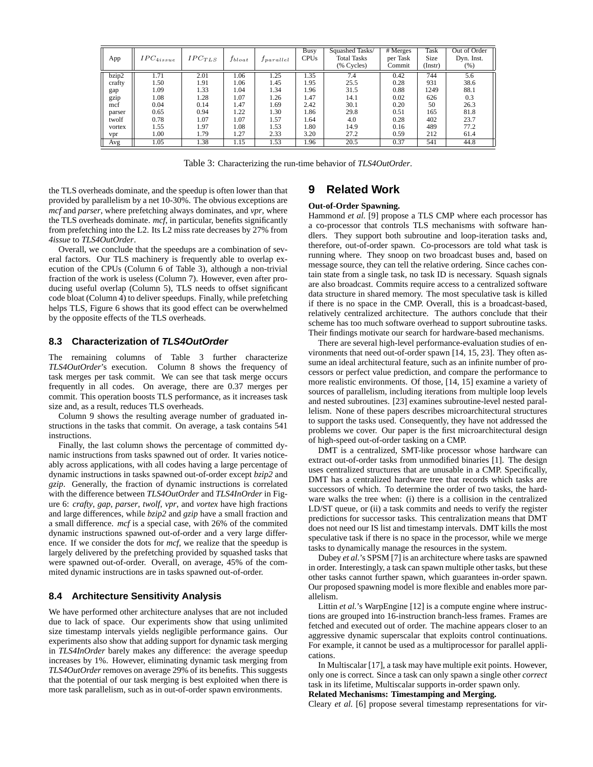| App    | $IPC_{4issue}$ | $IPC_{TLS}$ | $f_{block}$ | fparallel | <b>Busy</b><br><b>CPUs</b> | Squashed Tasks/<br><b>Total Tasks</b><br>$%$ Cycles $)$ | $\overline{\text{#}$ Merges<br>per Task<br>Commit | Task<br>Size<br>(Instr) | Out of Order<br>Dyn. Inst.<br>$(\%)$ |
|--------|----------------|-------------|-------------|-----------|----------------------------|---------------------------------------------------------|---------------------------------------------------|-------------------------|--------------------------------------|
| bzip2  | 1.71           | 2.01        | 1.06        | 1.25      | $1.\overline{35}$          | 7.4                                                     | 0.42                                              | 744                     | 5.6                                  |
| crafty | 1.50           | 1.91        | 1.06        | 1.45      | 1.95                       | 25.5                                                    | 0.28                                              | 931                     | 38.6                                 |
| gap    | 1.09           | 1.33        | 1.04        | 1.34      | 1.96                       | 31.5                                                    | 0.88                                              | 1249                    | 88.1                                 |
| gzip   | 1.08           | 1.28        | 1.07        | 1.26      | 1.47                       | 14.1                                                    | 0.02                                              | 626                     | 0.3                                  |
| mcf    | 0.04           | 0.14        | 1.47        | 1.69      | 2.42                       | 30.1                                                    | 0.20                                              | 50                      | 26.3                                 |
| parser | 0.65           | 0.94        | 1.22        | 1.30      | 1.86                       | 29.8                                                    | 0.51                                              | 165                     | 81.8                                 |
| twolf  | 0.78           | 1.07        | 1.07        | 1.57      | 1.64                       | 4.0                                                     | 0.28                                              | 402                     | 23.7                                 |
| vortex | 1.55           | 1.97        | 1.08        | 1.53      | 1.80                       | 14.9                                                    | 0.16                                              | 489                     | 77.2                                 |
| vpr    | 1.00           | 1.79        | 1.27        | 2.33      | 3.20                       | 27.2                                                    | 0.59                                              | 212                     | 61.4                                 |
| Avg    | 1.05           | 1.38        | 1.15        | 1.53      | 1.96                       | 20.5                                                    | 0.37                                              | 541                     | 44.8                                 |

Table 3: Characterizing the run-time behavior of *TLS4OutOrder*.

the TLS overheads dominate, and the speedup is often lower than that provided by parallelism by a net 10-30%. The obvious exceptions are *mcf* and *parser*, where prefetching always dominates, and *vpr*, where the TLS overheads dominate. *mcf*, in particular, benefits significantly from prefetching into the L2. Its L2 miss rate decreases by 27% from *4issue* to *TLS4OutOrder*.

Overall, we conclude that the speedups are a combination of several factors. Our TLS machinery is frequently able to overlap execution of the CPUs (Column 6 of Table 3), although a non-trivial fraction of the work is useless (Column 7). However, even after producing useful overlap (Column 5), TLS needs to offset significant code bloat (Column 4) to deliver speedups. Finally, while prefetching helps TLS, Figure 6 shows that its good effect can be overwhelmed by the opposite effects of the TLS overheads.

## **8.3 Characterization of TLS4OutOrder**

The remaining columns of Table 3 further characterize *TLS4OutOrder*'s execution. Column 8 shows the frequency of task merges per task commit. We can see that task merge occurs frequently in all codes. On average, there are 0.37 merges per commit. This operation boosts TLS performance, as it increases task size and, as a result, reduces TLS overheads.

Column 9 shows the resulting average number of graduated instructions in the tasks that commit. On average, a task contains 541 instructions.

Finally, the last column shows the percentage of committed dynamic instructions from tasks spawned out of order. It varies noticeably across applications, with all codes having a large percentage of dynamic instructions in tasks spawned out-of-order except *bzip2* and *gzip*. Generally, the fraction of dynamic instructions is correlated with the difference between *TLS4OutOrder* and *TLS4InOrder* in Figure 6: *crafty*, *gap*, *parser*, *twolf*, *vpr*, and *vortex* have high fractions and large differences, while *bzip2* and *gzip* have a small fraction and a small difference. *mcf* is a special case, with 26% of the commited dynamic instructions spawned out-of-order and a very large difference. If we consider the dots for *mcf*, we realize that the speedup is largely delivered by the prefetching provided by squashed tasks that were spawned out-of-order. Overall, on average, 45% of the commited dynamic instructions are in tasks spawned out-of-order.

## **8.4 Architecture Sensitivity Analysis**

We have performed other architecture analyses that are not included due to lack of space. Our experiments show that using unlimited size timestamp intervals yields negligible performance gains. Our experiments also show that adding support for dynamic task merging in *TLS4InOrder* barely makes any difference: the average speedup increases by 1%. However, eliminating dynamic task merging from *TLS4OutOrder* removes on average 29% of its benefits. This suggests that the potential of our task merging is best exploited when there is more task parallelism, such as in out-of-order spawn environments.

## **9 Related Work**

#### **Out-of-Order Spawning.**

Hammond *et al.* [9] propose a TLS CMP where each processor has a co-processor that controls TLS mechanisms with software handlers. They support both subroutine and loop-iteration tasks and, therefore, out-of-order spawn. Co-processors are told what task is running where. They snoop on two broadcast buses and, based on message source, they can tell the relative ordering. Since caches contain state from a single task, no task ID is necessary. Squash signals are also broadcast. Commits require access to a centralized software data structure in shared memory. The most speculative task is killed if there is no space in the CMP. Overall, this is a broadcast-based, relatively centralized architecture. The authors conclude that their scheme has too much software overhead to support subroutine tasks. Their findings motivate our search for hardware-based mechanisms.

There are several high-level performance-evaluation studies of environments that need out-of-order spawn [14, 15, 23]. They often assume an ideal architectural feature, such as an infinite number of processors or perfect value prediction, and compare the performance to more realistic environments. Of those, [14, 15] examine a variety of sources of parallelism, including iterations from multiple loop levels and nested subroutines. [23] examines subroutine-level nested parallelism. None of these papers describes microarchitectural structures to support the tasks used. Consequently, they have not addressed the problems we cover. Our paper is the first microarchitectural design of high-speed out-of-order tasking on a CMP.

DMT is a centralized, SMT-like processor whose hardware can extract out-of-order tasks from unmodified binaries [1]. The design uses centralized structures that are unusable in a CMP. Specifically, DMT has a centralized hardware tree that records which tasks are successors of which. To determine the order of two tasks, the hardware walks the tree when: (i) there is a collision in the centralized LD/ST queue, or (ii) a task commits and needs to verify the register predictions for successor tasks. This centralization means that DMT does not need our IS list and timestamp intervals. DMT kills the most speculative task if there is no space in the processor, while we merge tasks to dynamically manage the resources in the system.

Dubey *et al.*'s SPSM [7] is an architecture where tasks are spawned in order. Interestingly, a task can spawn multiple other tasks, but these other tasks cannot further spawn, which guarantees in-order spawn. Our proposed spawning model is more flexible and enables more parallelism.

Littin *et al.*'s WarpEngine [12] is a compute engine where instructions are grouped into 16-instruction branch-less frames. Frames are fetched and executed out of order. The machine appears closer to an aggressive dynamic superscalar that exploits control continuations. For example, it cannot be used as a multiprocessor for parallel applications.

In Multiscalar [17], a task may have multiple exit points. However, only one is correct. Since a task can only spawn a single other *correct* task in its lifetime, Multiscalar supports in-order spawn only.

#### **Related Mechanisms: Timestamping and Merging.**

Cleary *et al.* [6] propose several timestamp representations for vir-